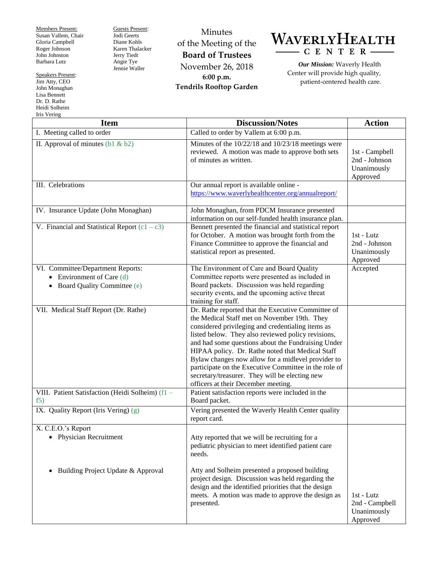Members Present: Susan Vallem, Chair Gloria Campbell Roger Johnson John Johnston Barbara Lutz

Speakers Present: Jim Atty, CEO John Monaghan Lisa Bennett Dr. D. Rathe Heidi Solheim Iris Vering

Guests Present: Jodi Geerts Diane Kohls Karen Thalacker Jerry Tiedt Angie Tye Jennie Waller

Minutes of the Meeting of the **Board of Trustees** November 26, 2018 **6:00 p.m. Tendrils Rooftop Garden**



*Our Mission:* Waverly Health Center will provide high quality, patient-centered health care.

| <b>Item</b>                                             | <b>Discussion/Notes</b>                                                                                                                                                                                                                                                                                                                                                                                                                                                                                                         | <b>Action</b>                                              |
|---------------------------------------------------------|---------------------------------------------------------------------------------------------------------------------------------------------------------------------------------------------------------------------------------------------------------------------------------------------------------------------------------------------------------------------------------------------------------------------------------------------------------------------------------------------------------------------------------|------------------------------------------------------------|
| I. Meeting called to order                              | Called to order by Vallem at 6:00 p.m.                                                                                                                                                                                                                                                                                                                                                                                                                                                                                          |                                                            |
| II. Approval of minutes $(b1 & b2)$                     | Minutes of the 10/22/18 and 10/23/18 meetings were<br>reviewed. A motion was made to approve both sets<br>of minutes as written.                                                                                                                                                                                                                                                                                                                                                                                                | 1st - Campbell<br>2nd - Johnson<br>Unanimously<br>Approved |
| III. Celebrations                                       | Our annual report is available online -<br>https://www.waverlyhealthcenter.org/annualreport/                                                                                                                                                                                                                                                                                                                                                                                                                                    |                                                            |
| IV. Insurance Update (John Monaghan)                    | John Monaghan, from PDCM Insurance presented<br>information on our self-funded health insurance plan.                                                                                                                                                                                                                                                                                                                                                                                                                           |                                                            |
| V. Financial and Statistical Report $(c1 - c3)$         | Bennett presented the financial and statistical report<br>for October. A motion was brought forth from the<br>Finance Committee to approve the financial and<br>statistical report as presented.                                                                                                                                                                                                                                                                                                                                | 1st - Lutz<br>2nd - Johnson<br>Unanimously<br>Approved     |
| VI. Committee/Department Reports:                       | The Environment of Care and Board Quality                                                                                                                                                                                                                                                                                                                                                                                                                                                                                       | Accepted                                                   |
| Environment of Care (d)                                 | Committee reports were presented as included in                                                                                                                                                                                                                                                                                                                                                                                                                                                                                 |                                                            |
| Board Quality Committee (e)                             | Board packets. Discussion was held regarding                                                                                                                                                                                                                                                                                                                                                                                                                                                                                    |                                                            |
|                                                         | security events, and the upcoming active threat                                                                                                                                                                                                                                                                                                                                                                                                                                                                                 |                                                            |
|                                                         | training for staff.                                                                                                                                                                                                                                                                                                                                                                                                                                                                                                             |                                                            |
| VII. Medical Staff Report (Dr. Rathe)                   | Dr. Rathe reported that the Executive Committee of<br>the Medical Staff met on November 19th. They<br>considered privileging and credentialing items as<br>listed below. They also reviewed policy revisions,<br>and had some questions about the Fundraising Under<br>HIPAA policy. Dr. Rathe noted that Medical Staff<br>Bylaw changes now allow for a midlevel provider to<br>participate on the Executive Committee in the role of<br>secretary/treasurer. They will be electing new<br>officers at their December meeting. |                                                            |
| VIII. Patient Satisfaction (Heidi Solheim) (f1 -<br>f5) | Patient satisfaction reports were included in the<br>Board packet.                                                                                                                                                                                                                                                                                                                                                                                                                                                              |                                                            |
| IX. Quality Report (Iris Vering) (g)                    | Vering presented the Waverly Health Center quality<br>report card.                                                                                                                                                                                                                                                                                                                                                                                                                                                              |                                                            |
| X. C.E.O.'s Report                                      |                                                                                                                                                                                                                                                                                                                                                                                                                                                                                                                                 |                                                            |
| • Physician Recruitment                                 | Atty reported that we will be recruiting for a<br>pediatric physician to meet identified patient care<br>needs.                                                                                                                                                                                                                                                                                                                                                                                                                 |                                                            |
| Building Project Update & Approval<br>$\bullet$         | Atty and Solheim presented a proposed building<br>project design. Discussion was held regarding the<br>design and the identified priorities that the design<br>meets. A motion was made to approve the design as<br>presented.                                                                                                                                                                                                                                                                                                  | 1st - Lutz<br>2nd - Campbell<br>Unanimously<br>Approved    |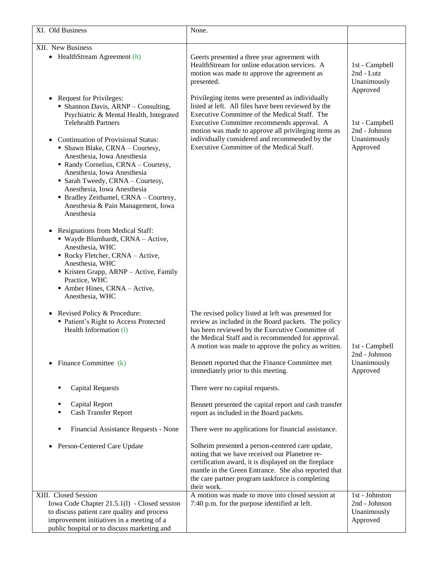| XI. Old Business                                                                                                                                                                                                                                                                                                                                                                                                                                                                                                  | None.                                                                                                                                                                                                                                                                                                                                                        |                                                            |
|-------------------------------------------------------------------------------------------------------------------------------------------------------------------------------------------------------------------------------------------------------------------------------------------------------------------------------------------------------------------------------------------------------------------------------------------------------------------------------------------------------------------|--------------------------------------------------------------------------------------------------------------------------------------------------------------------------------------------------------------------------------------------------------------------------------------------------------------------------------------------------------------|------------------------------------------------------------|
|                                                                                                                                                                                                                                                                                                                                                                                                                                                                                                                   |                                                                                                                                                                                                                                                                                                                                                              |                                                            |
| XII. New Business<br>• HealthStream Agreement (h)                                                                                                                                                                                                                                                                                                                                                                                                                                                                 | Geerts presented a three year agreement with<br>HealthStream for online education services. A<br>motion was made to approve the agreement as<br>presented.                                                                                                                                                                                                   | 1st - Campbell<br>2nd - Lutz<br>Unanimously<br>Approved    |
| <b>Request for Privileges:</b><br>• Shannon Davis, ARNP - Consulting,<br>Psychiatric & Mental Health, Integrated<br><b>Telehealth Partners</b><br><b>Continuation of Provisional Status:</b><br>$\bullet$<br>• Shawn Blake, CRNA - Courtesy,<br>Anesthesia, Iowa Anesthesia<br>• Randy Cornelius, CRNA - Courtesy,<br>Anesthesia, Iowa Anesthesia<br>• Sarah Tweedy, CRNA - Courtesy,<br>Anesthesia, Iowa Anesthesia<br>• Bradley Zeithamel, CRNA - Courtesy,<br>Anesthesia & Pain Management, Iowa<br>Anesthesia | Privileging items were presented as individually<br>listed at left. All files have been reviewed by the<br>Executive Committee of the Medical Staff. The<br>Executive Committee recommends approval. A<br>motion was made to approve all privileging items as<br>individually considered and recommended by the<br>Executive Committee of the Medical Staff. | 1st - Campbell<br>2nd - Johnson<br>Unanimously<br>Approved |
| <b>Resignations from Medical Staff:</b><br>· Wayde Blumhardt, CRNA - Active,<br>Anesthesia, WHC<br>Rocky Fletcher, CRNA - Active,<br>Anesthesia, WHC<br>Kristen Grapp, ARNP - Active, Family<br>Practice, WHC<br>Amber Hines, CRNA - Active,<br>Anesthesia, WHC                                                                                                                                                                                                                                                   |                                                                                                                                                                                                                                                                                                                                                              |                                                            |
| Revised Policy & Procedure:<br>$\bullet$<br>• Patient's Right to Access Protected<br>Health Information (i)                                                                                                                                                                                                                                                                                                                                                                                                       | The revised policy listed at left was presented for<br>review as included in the Board packets. The policy<br>has been reviewed by the Executive Committee of<br>the Medical Staff and is recommended for approval.<br>A motion was made to approve the policy as written.                                                                                   | 1st - Campbell<br>2nd - Johnson                            |
| Finance Committee (k)                                                                                                                                                                                                                                                                                                                                                                                                                                                                                             | Bennett reported that the Finance Committee met<br>immediately prior to this meeting.                                                                                                                                                                                                                                                                        | Unanimously<br>Approved                                    |
| <b>Capital Requests</b><br>Е                                                                                                                                                                                                                                                                                                                                                                                                                                                                                      | There were no capital requests.                                                                                                                                                                                                                                                                                                                              |                                                            |
| Capital Report<br>п<br><b>Cash Transfer Report</b>                                                                                                                                                                                                                                                                                                                                                                                                                                                                | Bennett presented the capital report and cash transfer<br>report as included in the Board packets.                                                                                                                                                                                                                                                           |                                                            |
| Financial Assistance Requests - None<br>٠                                                                                                                                                                                                                                                                                                                                                                                                                                                                         | There were no applications for financial assistance.                                                                                                                                                                                                                                                                                                         |                                                            |
| Person-Centered Care Update                                                                                                                                                                                                                                                                                                                                                                                                                                                                                       | Solheim presented a person-centered care update,<br>noting that we have received our Planetree re-<br>certification award, it is displayed on the fireplace<br>mantle in the Green Entrance. She also reported that<br>the care partner program taskforce is completing<br>their work.                                                                       |                                                            |
| XIII. Closed Session<br>Iowa Code Chapter 21.5.1(1) - Closed session<br>to discuss patient care quality and process<br>improvement initiatives in a meeting of a<br>public hospital or to discuss marketing and                                                                                                                                                                                                                                                                                                   | A motion was made to move into closed session at<br>7:40 p.m. for the purpose identified at left.                                                                                                                                                                                                                                                            | 1st - Johnston<br>2nd - Johnson<br>Unanimously<br>Approved |